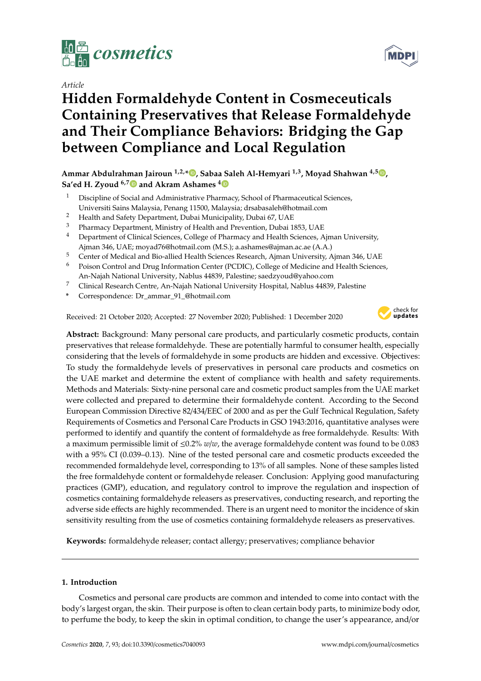

# *Article*

# **Hidden Formaldehyde Content in Cosmeceuticals Containing Preservatives that Release Formaldehyde and Their Compliance Behaviors: Bridging the Gap between Compliance and Local Regulation**

**Ammar Abdulrahman Jairoun 1,2,\* , Sabaa Saleh Al-Hemyari 1,3, Moyad Shahwan 4,5 , Sa'ed H. Zyoud 6,7 and Akram Ashames <sup>4</sup>**

- <sup>1</sup> Discipline of Social and Administrative Pharmacy, School of Pharmaceutical Sciences, Universiti Sains Malaysia, Penang 11500, Malaysia; drsabasaleh@hotmail.com
- <sup>2</sup> Health and Safety Department, Dubai Municipality, Dubai 67, UAE<br><sup>3</sup> Pharmacy Department, Ministry of Hoalth and Prayontion, Dubai 1
- <sup>3</sup> Pharmacy Department, Ministry of Health and Prevention, Dubai 1853, UAE
- <sup>4</sup> Department of Clinical Sciences, College of Pharmacy and Health Sciences, Ajman University, Ajman 346, UAE; moyad76@hotmail.com (M.S.); a.ashames@ajman.ac.ae (A.A.)
- <sup>5</sup> Center of Medical and Bio-allied Health Sciences Research, Ajman University, Ajman 346, UAE
- <sup>6</sup> Poison Control and Drug Information Center (PCDIC), College of Medicine and Health Sciences,
- An-Najah National University, Nablus 44839, Palestine; saedzyoud@yahoo.com
- <sup>7</sup> Clinical Research Centre, An-Najah National University Hospital, Nablus 44839, Palestine
- **\*** Correspondence: Dr\_ammar\_91\_@hotmail.com

Received: 21 October 2020; Accepted: 27 November 2020; Published: 1 December 2020



**Abstract:** Background: Many personal care products, and particularly cosmetic products, contain preservatives that release formaldehyde. These are potentially harmful to consumer health, especially considering that the levels of formaldehyde in some products are hidden and excessive. Objectives: To study the formaldehyde levels of preservatives in personal care products and cosmetics on the UAE market and determine the extent of compliance with health and safety requirements. Methods and Materials: Sixty-nine personal care and cosmetic product samples from the UAE market were collected and prepared to determine their formaldehyde content. According to the Second European Commission Directive 82/434/EEC of 2000 and as per the Gulf Technical Regulation, Safety Requirements of Cosmetics and Personal Care Products in GSO 1943:2016, quantitative analyses were performed to identify and quantify the content of formaldehyde as free formaldehyde. Results: With a maximum permissible limit of ≤0.2% *w*/*w*, the average formaldehyde content was found to be 0.083 with a 95% CI (0.039–0.13). Nine of the tested personal care and cosmetic products exceeded the recommended formaldehyde level, corresponding to 13% of all samples. None of these samples listed the free formaldehyde content or formaldehyde releaser. Conclusion: Applying good manufacturing practices (GMP), education, and regulatory control to improve the regulation and inspection of cosmetics containing formaldehyde releasers as preservatives, conducting research, and reporting the adverse side effects are highly recommended. There is an urgent need to monitor the incidence of skin sensitivity resulting from the use of cosmetics containing formaldehyde releasers as preservatives.

**Keywords:** formaldehyde releaser; contact allergy; preservatives; compliance behavior

# **1. Introduction**

Cosmetics and personal care products are common and intended to come into contact with the body's largest organ, the skin. Their purpose is often to clean certain body parts, to minimize body odor, to perfume the body, to keep the skin in optimal condition, to change the user's appearance, and/or

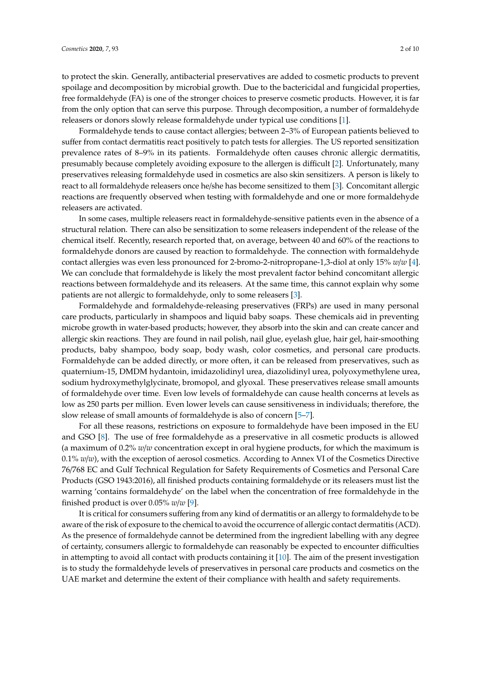to protect the skin. Generally, antibacterial preservatives are added to cosmetic products to prevent spoilage and decomposition by microbial growth. Due to the bactericidal and fungicidal properties, free formaldehyde (FA) is one of the stronger choices to preserve cosmetic products. However, it is far from the only option that can serve this purpose. Through decomposition, a number of formaldehyde releasers or donors slowly release formaldehyde under typical use conditions [1].

Formaldehyde tends to cause contact allergies; between 2–3% of European patients believed to suffer from contact dermatitis react positively to patch tests for allergies. The US reported sensitization prevalence rates of 8–9% in its patients. Formaldehyde often causes chronic allergic dermatitis, presumably because completely avoiding exposure to the allergen is difficult [2]. Unfortunately, many preservatives releasing formaldehyde used in cosmetics are also skin sensitizers. A person is likely to react to all formaldehyde releasers once he/she has become sensitized to them [3]. Concomitant allergic reactions are frequently observed when testing with formaldehyde and one or more formaldehyde releasers are activated.

In some cases, multiple releasers react in formaldehyde-sensitive patients even in the absence of a structural relation. There can also be sensitization to some releasers independent of the release of the chemical itself. Recently, research reported that, on average, between 40 and 60% of the reactions to formaldehyde donors are caused by reaction to formaldehyde. The connection with formaldehyde contact allergies was even less pronounced for 2-bromo-2-nitropropane-1,3-diol at only 15% *w*/*w* [4]. We can conclude that formaldehyde is likely the most prevalent factor behind concomitant allergic reactions between formaldehyde and its releasers. At the same time, this cannot explain why some patients are not allergic to formaldehyde, only to some releasers [3].

Formaldehyde and formaldehyde-releasing preservatives (FRPs) are used in many personal care products, particularly in shampoos and liquid baby soaps. These chemicals aid in preventing microbe growth in water-based products; however, they absorb into the skin and can create cancer and allergic skin reactions. They are found in nail polish, nail glue, eyelash glue, hair gel, hair-smoothing products, baby shampoo, body soap, body wash, color cosmetics, and personal care products. Formaldehyde can be added directly, or more often, it can be released from preservatives, such as quaternium-15, DMDM hydantoin, imidazolidinyl urea, diazolidinyl urea, polyoxymethylene urea, sodium hydroxymethylglycinate, bromopol, and glyoxal. These preservatives release small amounts of formaldehyde over time. Even low levels of formaldehyde can cause health concerns at levels as low as 250 parts per million. Even lower levels can cause sensitiveness in individuals; therefore, the slow release of small amounts of formaldehyde is also of concern [5–7].

For all these reasons, restrictions on exposure to formaldehyde have been imposed in the EU and GSO [8]. The use of free formaldehyde as a preservative in all cosmetic products is allowed (a maximum of 0.2% *w*/*w* concentration except in oral hygiene products, for which the maximum is 0.1% *w*/*w*), with the exception of aerosol cosmetics. According to Annex VI of the Cosmetics Directive 76/768 EC and Gulf Technical Regulation for Safety Requirements of Cosmetics and Personal Care Products (GSO 1943:2016), all finished products containing formaldehyde or its releasers must list the warning 'contains formaldehyde' on the label when the concentration of free formaldehyde in the finished product is over 0.05% *w*/*w* [9].

It is critical for consumers suffering from any kind of dermatitis or an allergy to formaldehyde to be aware of the risk of exposure to the chemical to avoid the occurrence of allergic contact dermatitis (ACD). As the presence of formaldehyde cannot be determined from the ingredient labelling with any degree of certainty, consumers allergic to formaldehyde can reasonably be expected to encounter difficulties in attempting to avoid all contact with products containing it [10]. The aim of the present investigation is to study the formaldehyde levels of preservatives in personal care products and cosmetics on the UAE market and determine the extent of their compliance with health and safety requirements.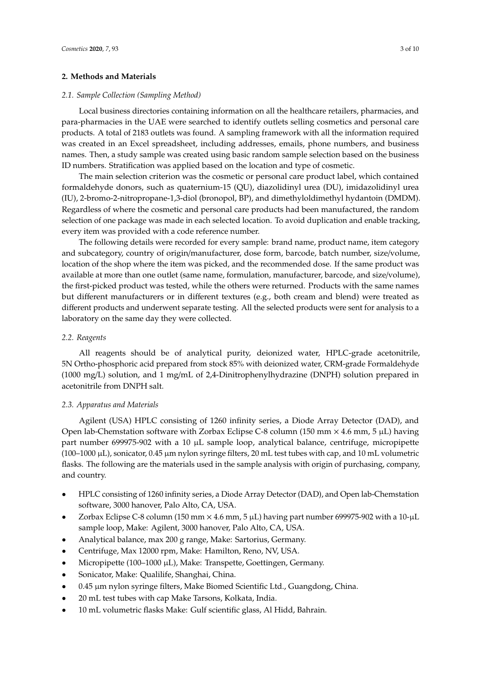# **2. Methods and Materials**

#### *2.1. Sample Collection (Sampling Method)*

Local business directories containing information on all the healthcare retailers, pharmacies, and para-pharmacies in the UAE were searched to identify outlets selling cosmetics and personal care products. A total of 2183 outlets was found. A sampling framework with all the information required was created in an Excel spreadsheet, including addresses, emails, phone numbers, and business names. Then, a study sample was created using basic random sample selection based on the business ID numbers. Stratification was applied based on the location and type of cosmetic.

The main selection criterion was the cosmetic or personal care product label, which contained formaldehyde donors, such as quaternium-15 (QU), diazolidinyl urea (DU), imidazolidinyl urea (IU), 2-bromo-2-nitropropane-1,3-diol (bronopol, BP), and dimethyloldimethyl hydantoin (DMDM). Regardless of where the cosmetic and personal care products had been manufactured, the random selection of one package was made in each selected location. To avoid duplication and enable tracking, every item was provided with a code reference number.

The following details were recorded for every sample: brand name, product name, item category and subcategory, country of origin/manufacturer, dose form, barcode, batch number, size/volume, location of the shop where the item was picked, and the recommended dose. If the same product was available at more than one outlet (same name, formulation, manufacturer, barcode, and size/volume), the first-picked product was tested, while the others were returned. Products with the same names but different manufacturers or in different textures (e.g., both cream and blend) were treated as different products and underwent separate testing. All the selected products were sent for analysis to a laboratory on the same day they were collected.

# *2.2. Reagents*

All reagents should be of analytical purity, deionized water, HPLC-grade acetonitrile, 5N Ortho-phosphoric acid prepared from stock 85% with deionized water, CRM-grade Formaldehyde (1000 mg/L) solution, and 1 mg/mL of 2,4-Dinitrophenylhydrazine (DNPH) solution prepared in acetonitrile from DNPH salt.

# *2.3. Apparatus and Materials*

Agilent (USA) HPLC consisting of 1260 infinity series, a Diode Array Detector (DAD), and Open lab-Chemstation software with Zorbax Eclipse C-8 column (150 mm  $\times$  4.6 mm, 5  $\mu$ L) having part number 699975-902 with a 10  $\mu$ L sample loop, analytical balance, centrifuge, micropipette  $(100-1000 \,\mu L)$ , sonicator, 0.45  $\mu$ m nylon syringe filters, 20 mL test tubes with cap, and 10 mL volumetric flasks. The following are the materials used in the sample analysis with origin of purchasing, company, and country.

- HPLC consisting of 1260 infinity series, a Diode Array Detector (DAD), and Open lab-Chemstation software, 3000 hanover, Palo Alto, CA, USA.
- Zorbax Eclipse C-8 column (150 mm  $\times$  4.6 mm, 5 µL) having part number 699975-902 with a 10-µL sample loop, Make: Agilent, 3000 hanover, Palo Alto, CA, USA.
- Analytical balance, max 200 g range, Make: Sartorius, Germany.
- Centrifuge, Max 12000 rpm, Make: Hamilton, Reno, NV, USA.
- Micropipette (100–1000 µL), Make: Transpette, Goettingen, Germany.
- Sonicator, Make: Qualilife, Shanghai, China.
- 0.45 µm nylon syringe filters, Make Biomed Scientific Ltd., Guangdong, China.
- 20 mL test tubes with cap Make Tarsons, Kolkata, India.
- 10 mL volumetric flasks Make: Gulf scientific glass, Al Hidd, Bahrain.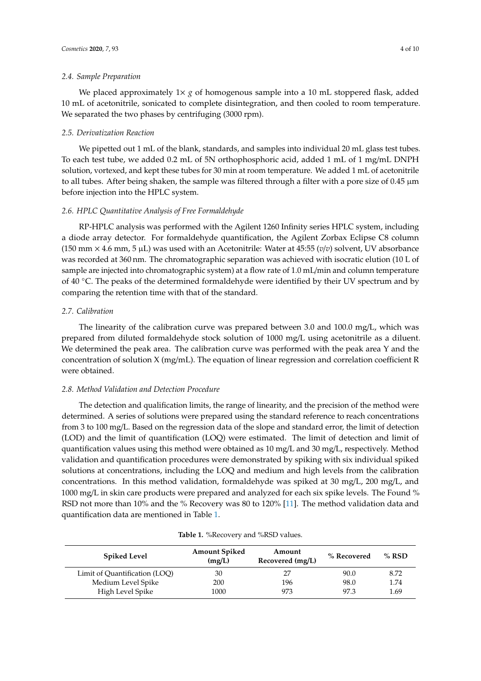#### *2.4. Sample Preparation*

We placed approximately  $1\times g$  of homogenous sample into a 10 mL stoppered flask, added 10 mL of acetonitrile, sonicated to complete disintegration, and then cooled to room temperature. We separated the two phases by centrifuging (3000 rpm).

#### *2.5. Derivatization Reaction*

We pipetted out 1 mL of the blank, standards, and samples into individual 20 mL glass test tubes. To each test tube, we added 0.2 mL of 5N orthophosphoric acid, added 1 mL of 1 mg/mL DNPH solution, vortexed, and kept these tubes for 30 min at room temperature. We added 1 mL of acetonitrile to all tubes. After being shaken, the sample was filtered through a filter with a pore size of  $0.45 \mu m$ before injection into the HPLC system.

#### *2.6. HPLC Quantitative Analysis of Free Formaldehyde*

RP-HPLC analysis was performed with the Agilent 1260 Infinity series HPLC system, including a diode array detector. For formaldehyde quantification, the Agilent Zorbax Eclipse C8 column (150 mm  $\times$  4.6 mm, 5  $\mu$ L) was used with an Acetonitrile: Water at 45:55 (*v*/*v*) solvent, UV absorbance was recorded at 360 nm. The chromatographic separation was achieved with isocratic elution (10 L of sample are injected into chromatographic system) at a flow rate of 1.0 mL/min and column temperature of 40 ◦C. The peaks of the determined formaldehyde were identified by their UV spectrum and by comparing the retention time with that of the standard.

## *2.7. Calibration*

The linearity of the calibration curve was prepared between 3.0 and 100.0 mg/L, which was prepared from diluted formaldehyde stock solution of 1000 mg/L using acetonitrile as a diluent. We determined the peak area. The calibration curve was performed with the peak area Y and the concentration of solution X (mg/mL). The equation of linear regression and correlation coefficient R were obtained.

#### *2.8. Method Validation and Detection Procedure*

The detection and qualification limits, the range of linearity, and the precision of the method were determined. A series of solutions were prepared using the standard reference to reach concentrations from 3 to 100 mg/L. Based on the regression data of the slope and standard error, the limit of detection (LOD) and the limit of quantification (LOQ) were estimated. The limit of detection and limit of quantification values using this method were obtained as 10 mg/L and 30 mg/L, respectively. Method validation and quantification procedures were demonstrated by spiking with six individual spiked solutions at concentrations, including the LOQ and medium and high levels from the calibration concentrations. In this method validation, formaldehyde was spiked at 30 mg/L, 200 mg/L, and 1000 mg/L in skin care products were prepared and analyzed for each six spike levels. The Found % RSD not more than 10% and the % Recovery was 80 to 120% [11]. The method validation data and quantification data are mentioned in Table 1.

| <b>Spiked Level</b>           | <b>Amount Spiked</b><br>(mg/L) | Amount<br>Recovered (mg/L) | % Recovered | $%$ RSD |
|-------------------------------|--------------------------------|----------------------------|-------------|---------|
| Limit of Quantification (LOO) | 30                             | 27                         | 90.0        | 8.72    |
| Medium Level Spike            | 200                            | 196                        | 98.0        | 1.74    |
| High Level Spike              | 1000                           | 973                        | 97.3        | 1.69    |

#### **Table 1.** %Recovery and %RSD values.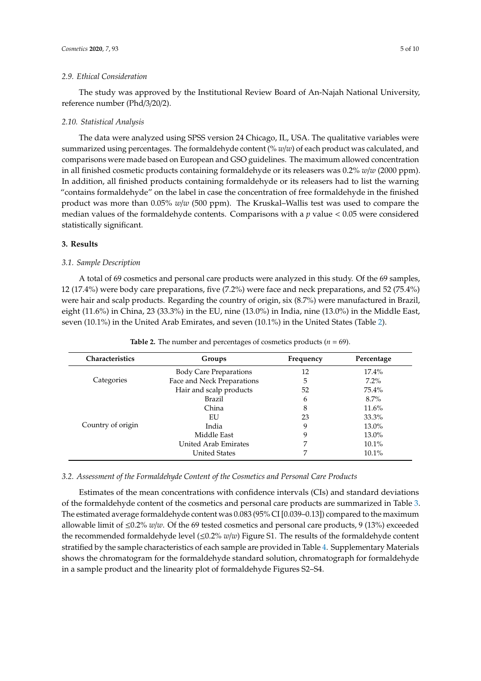#### *2.9. Ethical Consideration*

The study was approved by the Institutional Review Board of An-Najah National University, reference number (Phd/3/20/2).

#### *2.10. Statistical Analysis*

The data were analyzed using SPSS version 24 Chicago, IL, USA. The qualitative variables were summarized using percentages. The formaldehyde content (% *w*/*w*) of each product was calculated, and comparisons were made based on European and GSO guidelines. The maximum allowed concentration in all finished cosmetic products containing formaldehyde or its releasers was 0.2% *w*/*w* (2000 ppm). In addition, all finished products containing formaldehyde or its releasers had to list the warning "contains formaldehyde" on the label in case the concentration of free formaldehyde in the finished product was more than 0.05% *w*/*w* (500 ppm). The Kruskal–Wallis test was used to compare the median values of the formaldehyde contents. Comparisons with a *p* value < 0.05 were considered statistically significant.

## **3. Results**

## *3.1. Sample Description*

A total of 69 cosmetics and personal care products were analyzed in this study. Of the 69 samples, 12 (17.4%) were body care preparations, five (7.2%) were face and neck preparations, and 52 (75.4%) were hair and scalp products. Regarding the country of origin, six (8.7%) were manufactured in Brazil, eight (11.6%) in China, 23 (33.3%) in the EU, nine (13.0%) in India, nine (13.0%) in the Middle East, seven (10.1%) in the United Arab Emirates, and seven (10.1%) in the United States (Table 2).

| <b>Characteristics</b> | Groups                        | Frequency | Percentage |
|------------------------|-------------------------------|-----------|------------|
|                        | <b>Body Care Preparations</b> | 12        | $17.4\%$   |
| Categories             | Face and Neck Preparations    | 5         | $7.2\%$    |
|                        | Hair and scalp products       | 52        | 75.4%      |
|                        | <b>Brazil</b>                 | 6         | $8.7\%$    |
|                        | China                         | 8         | $11.6\%$   |
|                        | EU                            | 23        | 33.3%      |
| Country of origin      | India                         | q         | 13.0%      |
|                        | Middle East                   | q         | 13.0%      |
|                        | United Arab Emirates          |           | $10.1\%$   |
|                        | <b>United States</b>          |           | $10.1\%$   |

**Table 2.** The number and percentages of cosmetics products ( $n = 69$ ).

# *3.2. Assessment of the Formaldehyde Content of the Cosmetics and Personal Care Products*

Estimates of the mean concentrations with confidence intervals (CIs) and standard deviations of the formaldehyde content of the cosmetics and personal care products are summarized in Table 3. The estimated average formaldehyde content was 0.083 (95% CI [0.039–0.13]) compared to the maximum allowable limit of ≤0.2% *w*/*w*. Of the 69 tested cosmetics and personal care products, 9 (13%) exceeded the recommended formaldehyde level (≤0.2% *w*/*w*) Figure S1. The results of the formaldehyde content stratified by the sample characteristics of each sample are provided in Table 4. Supplementary Materials shows the chromatogram for the formaldehyde standard solution, chromatograph for formaldehyde in a sample product and the linearity plot of formaldehyde Figures S2–S4.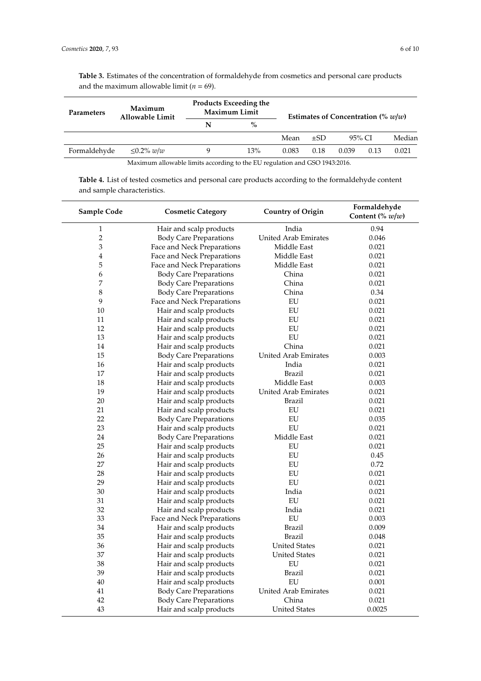**Table 3.** Estimates of the concentration of formaldehyde from cosmetics and personal care products and the maximum allowable limit ( $n = 69$ ).

| <b>Parameters</b>                                                          | Maximum<br>Allowable Limit | <b>Products Exceeding the</b><br><b>Maximum Limit</b> |      | Estimates of Concentration $\left(\% w/w\right)$ |      |       |        |       |
|----------------------------------------------------------------------------|----------------------------|-------------------------------------------------------|------|--------------------------------------------------|------|-------|--------|-------|
|                                                                            |                            | N                                                     | $\%$ |                                                  |      |       |        |       |
|                                                                            |                            |                                                       |      | 95% CI<br>Mean<br>$\pm$ SD                       |      |       | Median |       |
| Formaldehyde                                                               | $\leq$ 0.2% w/w            | q                                                     | 13%  | 0.083                                            | 0.18 | 0.039 | 0.13   | 0.021 |
| Maximum allowable limits according to the EU regulation and GSO 1943:2016. |                            |                                                       |      |                                                  |      |       |        |       |

**Table 4.** List of tested cosmetics and personal care products according to the formaldehyde content and sample characteristics.

| Sample Code    | <b>Cosmetic Category</b>      | <b>Country of Origin</b>    | Formaldehyde<br>Content (% $w/w$ ) |
|----------------|-------------------------------|-----------------------------|------------------------------------|
| $\,1$          | Hair and scalp products       | India                       | 0.94                               |
| $\overline{2}$ | <b>Body Care Preparations</b> | <b>United Arab Emirates</b> | 0.046                              |
| 3              | Face and Neck Preparations    | Middle East                 | 0.021                              |
| $\overline{4}$ | Face and Neck Preparations    | Middle East                 | 0.021                              |
| 5              | Face and Neck Preparations    | Middle East                 | 0.021                              |
| 6              | <b>Body Care Preparations</b> | China                       | 0.021                              |
| 7              | <b>Body Care Preparations</b> | China                       | 0.021                              |
| $\,8\,$        | <b>Body Care Preparations</b> | China                       | 0.34                               |
| 9              | Face and Neck Preparations    | EU                          | 0.021                              |
| 10             | Hair and scalp products       | ${\rm EU}$                  | 0.021                              |
| 11             | Hair and scalp products       | EU                          | 0.021                              |
| 12             | Hair and scalp products       | EU                          | 0.021                              |
| 13             | Hair and scalp products       | EU                          | 0.021                              |
| 14             | Hair and scalp products       | China                       | 0.021                              |
| 15             | <b>Body Care Preparations</b> | United Arab Emirates        | 0.003                              |
| 16             | Hair and scalp products       | India                       | 0.021                              |
| 17             | Hair and scalp products       | <b>Brazil</b>               | 0.021                              |
| 18             | Hair and scalp products       | Middle East                 | 0.003                              |
| 19             | Hair and scalp products       | United Arab Emirates        | 0.021                              |
| 20             | Hair and scalp products       | Brazil                      | 0.021                              |
| 21             | Hair and scalp products       | EU                          | 0.021                              |
| 22             | <b>Body Care Preparations</b> | ${\rm EU}$                  | 0.035                              |
| 23             | Hair and scalp products       | EU                          | 0.021                              |
| 24             | <b>Body Care Preparations</b> | Middle East                 | 0.021                              |
| 25             | Hair and scalp products       | EU                          | 0.021                              |
| 26             | Hair and scalp products       | EU                          | 0.45                               |
| 27             | Hair and scalp products       | EU                          | 0.72                               |
| 28             | Hair and scalp products       | EU                          | 0.021                              |
| 29             | Hair and scalp products       | ${\rm EU}$                  | 0.021                              |
| 30             | Hair and scalp products       | India                       | 0.021                              |
| 31             | Hair and scalp products       | EU                          | 0.021                              |
| 32             | Hair and scalp products       | India                       | 0.021                              |
| 33             | Face and Neck Preparations    | <b>EU</b>                   | 0.003                              |
| 34             | Hair and scalp products       | <b>Brazil</b>               | 0.009                              |
| 35             | Hair and scalp products       | Brazil                      | 0.048                              |
| 36             | Hair and scalp products       | <b>United States</b>        | 0.021                              |
| 37             | Hair and scalp products       | <b>United States</b>        | 0.021                              |
| 38             | Hair and scalp products       | EU                          | 0.021                              |
| 39             | Hair and scalp products       | <b>Brazil</b>               | 0.021                              |
| 40             | Hair and scalp products       | EU                          | 0.001                              |
| 41             | <b>Body Care Preparations</b> | <b>United Arab Emirates</b> | 0.021                              |
| 42             | <b>Body Care Preparations</b> | China                       | 0.021                              |
| 43             | Hair and scalp products       | <b>United States</b>        | 0.0025                             |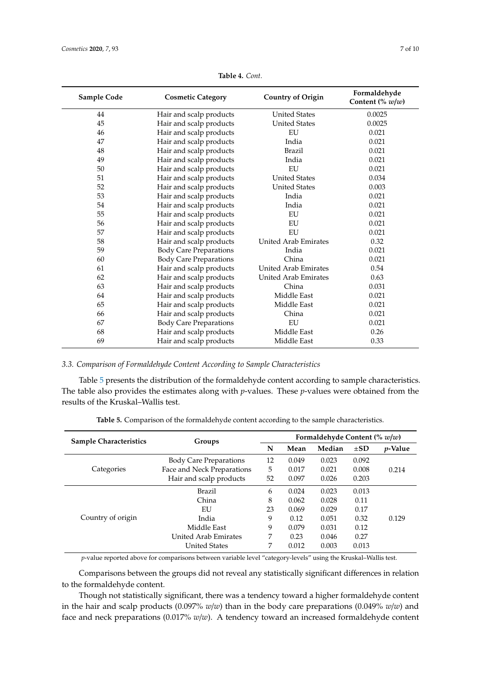| Sample Code | <b>Cosmetic Category</b>      | <b>Country of Origin</b>    | Formaldehyde<br>Content (% $w/w$ ) |
|-------------|-------------------------------|-----------------------------|------------------------------------|
| 44          | Hair and scalp products       | <b>United States</b>        | 0.0025                             |
| 45          | Hair and scalp products       | <b>United States</b>        | 0.0025                             |
| 46          | Hair and scalp products       | EU                          | 0.021                              |
| 47          | Hair and scalp products       | India                       | 0.021                              |
| 48          | Hair and scalp products       | Brazil                      | 0.021                              |
| 49          | Hair and scalp products       | India                       | 0.021                              |
| 50          | Hair and scalp products       | EU                          | 0.021                              |
| 51          | Hair and scalp products       | <b>United States</b>        | 0.034                              |
| 52          | Hair and scalp products       | <b>United States</b>        | 0.003                              |
| 53          | Hair and scalp products       | India                       | 0.021                              |
| 54          | Hair and scalp products       | India                       | 0.021                              |
| 55          | Hair and scalp products       | EU                          | 0.021                              |
| 56          | Hair and scalp products       | EU                          | 0.021                              |
| 57          | Hair and scalp products       | EU                          | 0.021                              |
| 58          | Hair and scalp products       | <b>United Arab Emirates</b> | 0.32                               |
| 59          | <b>Body Care Preparations</b> | India                       | 0.021                              |
| 60          | <b>Body Care Preparations</b> | China                       | 0.021                              |
| 61          | Hair and scalp products       | <b>United Arab Emirates</b> | 0.54                               |
| 62          | Hair and scalp products       | <b>United Arab Emirates</b> | 0.63                               |
| 63          | Hair and scalp products       | China                       | 0.031                              |
| 64          | Hair and scalp products       | Middle East                 | 0.021                              |
| 65          | Hair and scalp products       | Middle East                 | 0.021                              |
| 66          | Hair and scalp products       | China                       | 0.021                              |
| 67          | <b>Body Care Preparations</b> | EU                          | 0.021                              |
| 68          | Hair and scalp products       | Middle East                 | 0.26                               |
| 69          | Hair and scalp products       | Middle East                 | 0.33                               |

**Table 4.** *Cont.*

*3.3. Comparison of Formaldehyde Content According to Sample Characteristics*

Table 5 presents the distribution of the formaldehyde content according to sample characteristics. The table also provides the estimates along with *p*-values. These *p*-values were obtained from the results of the Kruskal–Wallis test.

| <b>Sample Characteristics</b> | Groups                        | Formaldehyde Content (% $w/w$ ) |       |        |          |                 |
|-------------------------------|-------------------------------|---------------------------------|-------|--------|----------|-----------------|
|                               |                               | N                               | Mean  | Median | $\pm SD$ | <i>p</i> -Value |
|                               | <b>Body Care Preparations</b> | 12                              | 0.049 | 0.023  | 0.092    |                 |
| Categories                    | Face and Neck Preparations    | 5                               | 0.017 | 0.021  | 0.008    | 0.214           |
|                               | Hair and scalp products       | 52                              | 0.097 | 0.026  | 0.203    |                 |
| Country of origin             | <b>Brazil</b>                 | 6                               | 0.024 | 0.023  | 0.013    |                 |
|                               | China                         | 8                               | 0.062 | 0.028  | 0.11     |                 |
|                               | EU                            | 23                              | 0.069 | 0.029  | 0.17     |                 |
|                               | India                         | 9                               | 0.12  | 0.051  | 0.32     | 0.129           |
|                               | Middle East                   | 9                               | 0.079 | 0.031  | 0.12     |                 |
|                               | United Arab Emirates          | 7                               | 0.23  | 0.046  | 0.27     |                 |
|                               | <b>United States</b>          | 7                               | 0.012 | 0.003  | 0.013    |                 |

**Table 5.** Comparison of the formaldehyde content according to the sample characteristics.

*p*-value reported above for comparisons between variable level "category-levels" using the Kruskal–Wallis test.

Comparisons between the groups did not reveal any statistically significant differences in relation to the formaldehyde content.

Though not statistically significant, there was a tendency toward a higher formaldehyde content in the hair and scalp products (0.097% *w*/*w*) than in the body care preparations (0.049% *w*/*w*) and face and neck preparations (0.017% *w*/*w*). A tendency toward an increased formaldehyde content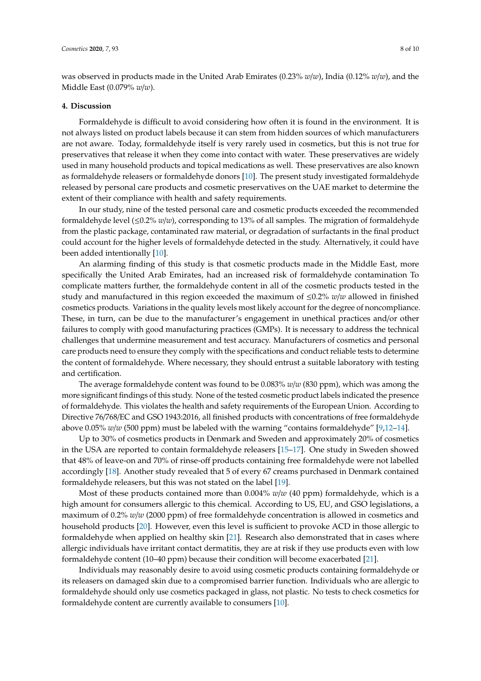was observed in products made in the United Arab Emirates (0.23% *w*/*w*), India (0.12% *w*/*w*), and the Middle East (0.079% *w*/*w*).

# **4. Discussion**

Formaldehyde is difficult to avoid considering how often it is found in the environment. It is not always listed on product labels because it can stem from hidden sources of which manufacturers are not aware. Today, formaldehyde itself is very rarely used in cosmetics, but this is not true for preservatives that release it when they come into contact with water. These preservatives are widely used in many household products and topical medications as well. These preservatives are also known as formaldehyde releasers or formaldehyde donors [10]. The present study investigated formaldehyde released by personal care products and cosmetic preservatives on the UAE market to determine the extent of their compliance with health and safety requirements.

In our study, nine of the tested personal care and cosmetic products exceeded the recommended formaldehyde level (≤0.2% *w*/*w*), corresponding to 13% of all samples. The migration of formaldehyde from the plastic package, contaminated raw material, or degradation of surfactants in the final product could account for the higher levels of formaldehyde detected in the study. Alternatively, it could have been added intentionally [10].

An alarming finding of this study is that cosmetic products made in the Middle East, more specifically the United Arab Emirates, had an increased risk of formaldehyde contamination To complicate matters further, the formaldehyde content in all of the cosmetic products tested in the study and manufactured in this region exceeded the maximum of ≤0.2% *w*/*w* allowed in finished cosmetics products. Variations in the quality levels most likely account for the degree of noncompliance. These, in turn, can be due to the manufacturer's engagement in unethical practices and/or other failures to comply with good manufacturing practices (GMPs). It is necessary to address the technical challenges that undermine measurement and test accuracy. Manufacturers of cosmetics and personal care products need to ensure they comply with the specifications and conduct reliable tests to determine the content of formaldehyde. Where necessary, they should entrust a suitable laboratory with testing and certification.

The average formaldehyde content was found to be 0.083% *w*/*w* (830 ppm), which was among the more significant findings of this study. None of the tested cosmetic product labels indicated the presence of formaldehyde. This violates the health and safety requirements of the European Union. According to Directive 76/768/EC and GSO 1943:2016, all finished products with concentrations of free formaldehyde above 0.05% *w*/*w* (500 ppm) must be labeled with the warning "contains formaldehyde" [9,12-14].

Up to 30% of cosmetics products in Denmark and Sweden and approximately 20% of cosmetics in the USA are reported to contain formaldehyde releasers [15–17]. One study in Sweden showed that 48% of leave-on and 70% of rinse-off products containing free formaldehyde were not labelled accordingly [18]. Another study revealed that 5 of every 67 creams purchased in Denmark contained formaldehyde releasers, but this was not stated on the label [19].

Most of these products contained more than 0.004% *w*/*w* (40 ppm) formaldehyde, which is a high amount for consumers allergic to this chemical. According to US, EU, and GSO legislations, a maximum of 0.2% *w*/*w* (2000 ppm) of free formaldehyde concentration is allowed in cosmetics and household products [20]. However, even this level is sufficient to provoke ACD in those allergic to formaldehyde when applied on healthy skin [21]. Research also demonstrated that in cases where allergic individuals have irritant contact dermatitis, they are at risk if they use products even with low formaldehyde content (10–40 ppm) because their condition will become exacerbated [21].

Individuals may reasonably desire to avoid using cosmetic products containing formaldehyde or its releasers on damaged skin due to a compromised barrier function. Individuals who are allergic to formaldehyde should only use cosmetics packaged in glass, not plastic. No tests to check cosmetics for formaldehyde content are currently available to consumers [10].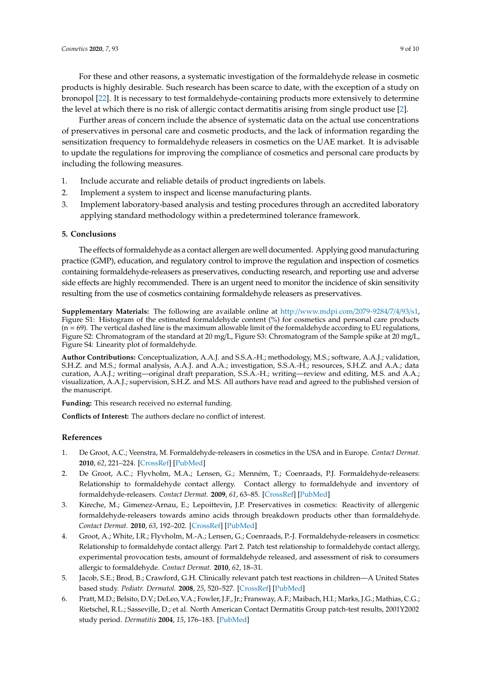For these and other reasons, a systematic investigation of the formaldehyde release in cosmetic products is highly desirable. Such research has been scarce to date, with the exception of a study on bronopol [22]. It is necessary to test formaldehyde-containing products more extensively to determine the level at which there is no risk of allergic contact dermatitis arising from single product use [2].

Further areas of concern include the absence of systematic data on the actual use concentrations of preservatives in personal care and cosmetic products, and the lack of information regarding the sensitization frequency to formaldehyde releasers in cosmetics on the UAE market. It is advisable to update the regulations for improving the compliance of cosmetics and personal care products by including the following measures.

- 1. Include accurate and reliable details of product ingredients on labels.
- 2. Implement a system to inspect and license manufacturing plants.
- 3. Implement laboratory-based analysis and testing procedures through an accredited laboratory applying standard methodology within a predetermined tolerance framework.

## **5. Conclusions**

The effects of formaldehyde as a contact allergen are well documented. Applying good manufacturing practice (GMP), education, and regulatory control to improve the regulation and inspection of cosmetics containing formaldehyde-releasers as preservatives, conducting research, and reporting use and adverse side effects are highly recommended. There is an urgent need to monitor the incidence of skin sensitivity resulting from the use of cosmetics containing formaldehyde releasers as preservatives.

**Supplementary Materials:** The following are available online at http://www.mdpi.com/2079-9284/7/4/93/s1, Figure S1: Histogram of the estimated formaldehyde content (%) for cosmetics and personal care products  $(n = 69)$ . The vertical dashed line is the maximum allowable limit of the formaldehyde according to EU regulations, Figure S2: Chromatogram of the standard at 20 mg/L, Figure S3: Chromatogram of the Sample spike at 20 mg/L, Figure S4: Linearity plot of formaldehyde.

**Author Contributions:** Conceptualization, A.A.J. and S.S.A.-H.; methodology, M.S.; software, A.A.J.; validation, S.H.Z. and M.S.; formal analysis, A.A.J. and A.A.; investigation, S.S.A.-H.; resources, S.H.Z. and A.A.; data curation, A.A.J.; writing—original draft preparation, S.S.A.-H.; writing—review and editing, M.S. and A.A.; visualization, A.A.J.; supervision, S.H.Z. and M.S. All authors have read and agreed to the published version of the manuscript.

**Funding:** This research received no external funding.

**Conflicts of Interest:** The authors declare no conflict of interest.

# **References**

- 1. De Groot, A.C.; Veenstra, M. Formaldehyde-releasers in cosmetics in the USA and in Europe. *Contact Dermat.* **2010**, *62*, 221–224. [CrossRef] [PubMed]
- 2. De Groot, A.C.; Flyvholm, M.A.; Lensen, G.; Menném, T.; Coenraads, P.J. Formaldehyde-releasers: Relationship to formaldehyde contact allergy. Contact allergy to formaldehyde and inventory of formaldehyde-releasers. *Contact Dermat.* **2009**, *61*, 63–85. [CrossRef] [PubMed]
- 3. Kireche, M.; Gimenez-Arnau, E.; Lepoittevin, J.P. Preservatives in cosmetics: Reactivity of allergenic formaldehyde-releasers towards amino acids through breakdown products other than formaldehyde. *Contact Dermat.* **2010**, *63*, 192–202. [CrossRef] [PubMed]
- 4. Groot, A.; White, I.R.; Flyvholm, M.-A.; Lensen, G.; Coenraads, P.-J. Formaldehyde-releasers in cosmetics: Relationship to formaldehyde contact allergy. Part 2. Patch test relationship to formaldehyde contact allergy, experimental provocation tests, amount of formaldehyde released, and assessment of risk to consumers allergic to formaldehyde. *Contact Dermat.* **2010**, *62*, 18–31.
- 5. Jacob, S.E.; Brod, B.; Crawford, G.H. Clinically relevant patch test reactions in children—A United States based study. *Pediatr. Dermatol.* **2008**, *25*, 520–527. [CrossRef] [PubMed]
- 6. Pratt, M.D.; Belsito, D.V.; DeLeo, V.A.; Fowler, J.F., Jr.; Fransway, A.F.; Maibach, H.I.; Marks, J.G.; Mathias, C.G.; Rietschel, R.L.; Sasseville, D.; et al. North American Contact Dermatitis Group patch-test results, 2001Y2002 study period. *Dermatitis* **2004**, *15*, 176–183. [PubMed]